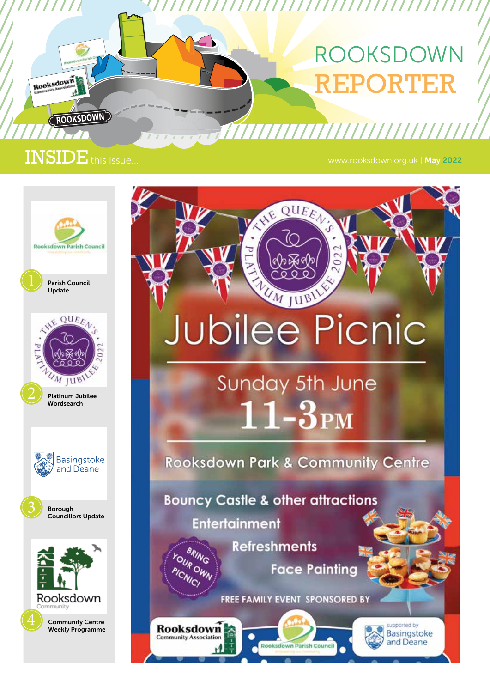# ROOKSDOWN RTER

////////////////////////////////

7777777777777777777777777

202

JE QUEEN

UM JUBIL

**Jubilee Picnic** 

Sunday 5th June

 $11-3<sub>PM</sub>$ 

**Rooksdown Park & Community Centre** 

**Face Painting** 

supported by

Basingstoke

and Deane

FREE FAMILY EVENT SPONSORED BY

**Rooksdown Parish Council** 

**Bouncy Castle & other attractions** 

**Refreshments** 

**Entertainment** 

**BRING** OUR OWN

ICNICI

Rooksdown

**Community Association** 

### INSIDE<sup>T</sup> this issue...

**ROOKSDOWN**

Rooksdown

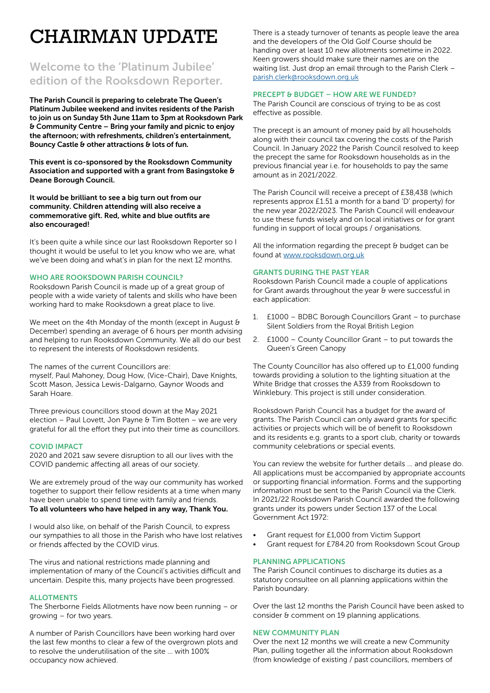# CHAIRMAN UPDATE

### Welcome to the 'Platinum Jubilee' edition of the Rooksdown Reporter.

The Parish Council is preparing to celebrate The Queen's Platinum Jubilee weekend and invites residents of the Parish to join us on Sunday 5th June 11am to 3pm at Rooksdown Park & Community Centre – Bring your family and picnic to enjoy the afternoon; with refreshments, children's entertainment, Bouncy Castle & other attractions & lots of fun.

This event is co-sponsored by the Rooksdown Community Association and supported with a grant from Basingstoke & Deane Borough Council.

It would be brilliant to see a big turn out from our community. Children attending will also receive a commemorative gift. Red, white and blue outfits are also encouraged!

It's been quite a while since our last Rooksdown Reporter so I thought it would be useful to let you know who we are, what we've been doing and what's in plan for the next 12 months.

#### WHO ARE ROOKSDOWN PARISH COUNCIL?

Rooksdown Parish Council is made up of a great group of people with a wide variety of talents and skills who have been working hard to make Rooksdown a great place to live.

We meet on the 4th Monday of the month (except in August & December) spending an average of 6 hours per month advising and helping to run Rooksdown Community. We all do our best to represent the interests of Rooksdown residents.

The names of the current Councillors are:

myself, Paul Mahoney, Doug How, (Vice-Chair), Dave Knights, Scott Mason, Jessica Lewis-Dalgarno, Gaynor Woods and Sarah Hoare.

Three previous councillors stood down at the May 2021 election – Paul Lovett, Jon Payne & Tim Botten – we are very grateful for all the effort they put into their time as councillors.

#### COVID IMPACT

2020 and 2021 saw severe disruption to all our lives with the COVID pandemic affecting all areas of our society.

We are extremely proud of the way our community has worked together to support their fellow residents at a time when many have been unable to spend time with family and friends. To all volunteers who have helped in any way, Thank You.

I would also like, on behalf of the Parish Council, to express our sympathies to all those in the Parish who have lost relatives or friends affected by the COVID virus.

The virus and national restrictions made planning and implementation of many of the Council's activities difficult and uncertain. Despite this, many projects have been progressed.

#### ALLOTMENTS

The Sherborne Fields Allotments have now been running – or growing – for two years.

A number of Parish Councillors have been working hard over the last few months to clear a few of the overgrown plots and to resolve the underutilisation of the site … with 100% occupancy now achieved.

There is a steady turnover of tenants as people leave the area and the developers of the Old Golf Course should be handing over at least 10 new allotments sometime in 2022. Keen growers should make sure their names are on the waiting list. Just drop an email through to the Parish Clerk – parish.clerk@rooksdown.org.uk

#### PRECEPT & BUDGET – HOW ARE WE FUNDED?

The Parish Council are conscious of trying to be as cost effective as possible.

The precept is an amount of money paid by all households along with their council tax covering the costs of the Parish Council. In January 2022 the Parish Council resolved to keep the precept the same for Rooksdown households as in the previous financial year i.e. for households to pay the same amount as in 2021/2022.

The Parish Council will receive a precept of £38,438 (which represents approx £1.51 a month for a band 'D' property) for the new year 2022/2023. The Parish Council will endeavour to use these funds wisely and on local initiatives or for grant funding in support of local groups / organisations.

All the information regarding the precept  $\theta$  budget can be found at www.rooksdown.org.uk

#### GRANTS DURING THE PAST YEAR

Rooksdown Parish Council made a couple of applications for Grant awards throughout the year & were successful in each application:

- 1. £1000 BDBC Borough Councillors Grant to purchase Silent Soldiers from the Royal British Legion
- 2. £1000 County Councillor Grant to put towards the Queen's Green Canopy

The County Councillor has also offered up to £1,000 funding towards providing a solution to the lighting situation at the White Bridge that crosses the A339 from Rooksdown to Winklebury. This project is still under consideration.

Rooksdown Parish Council has a budget for the award of grants. The Parish Council can only award grants for specific activities or projects which will be of benefit to Rooksdown and its residents e.g. grants to a sport club, charity or towards community celebrations or special events.

You can review the website for further details ... and please do. All applications must be accompanied by appropriate accounts or supporting financial information. Forms and the supporting information must be sent to the Parish Council via the Clerk. In 2021/22 Rooksdown Parish Council awarded the following grants under its powers under Section 137 of the Local Government Act 1972:

- Grant request for £1,000 from Victim Support
- Grant request for £784.20 from Rooksdown Scout Group

#### PLANNING APPLICATIONS

The Parish Council continues to discharge its duties as a statutory consultee on all planning applications within the Parish boundary.

Over the last 12 months the Parish Council have been asked to consider & comment on 19 planning applications.

#### NEW COMMUNITY PLAN

Over the next 12 months we will create a new Community Plan, pulling together all the information about Rooksdown (from knowledge of existing / past councillors, members of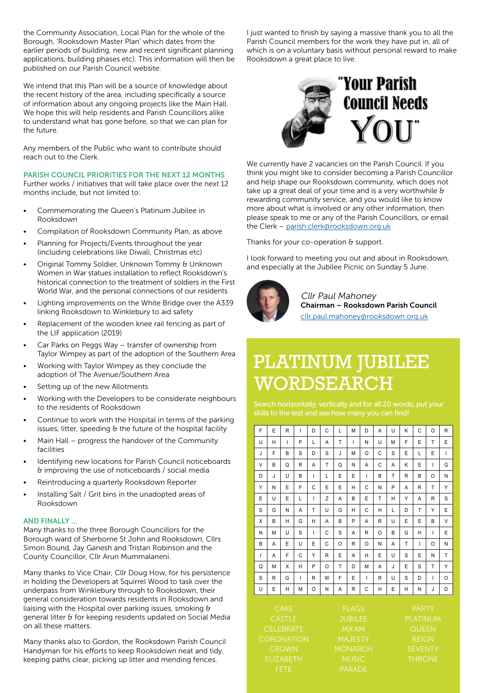the Community Association, Local Plan for the whole of the Borough, 'Rooksdown Master Plan' which dates from the earlier periods of building, new and recent significant planning applications, building phases etc). This information will then be published on our Parish Council website.

We intend that this Plan will be a source of knowledge about the recent history of the area, including specifically a source of information about any ongoing projects like the Main Hall. We hope this will help residents and Parish Councillors alike to understand what has gone before, so that we can plan for the future.

Any members of the Public who want to contribute should reach out to the Clerk.

PARISH COUNCIL PRIORITIES FOR THE NEXT 12 MONTHS

Further works / initiatives that will take place over the next 12 months include, but not limited to:

- Commemorating the Queen's Platinum Jubilee in Rooksdown
- Compilation of Rooksdown Community Plan, as above
- Planning for Projects/Events throughout the year (including celebrations like Diwali, Christmas etc)
- Original Tommy Soldier, Unknown Tommy & Unknown Women in War statues installation to reflect Rooksdown's historical connection to the treatment of soldiers in the First World War, and the personal connections of our residents
- Lighting improvements on the White Bridge over the A339 linking Rooksdown to Winklebury to aid safety
- Replacement of the wooden knee rail fencing as part of the LIF application (2019)
- Car Parks on Peggs Way transfer of ownership from Taylor Wimpey as part of the adoption of the Southern Area
- Working with Taylor Wimpey as they conclude the adoption of The Avenue/Southern Area
- Setting up of the new Allotments
- Working with the Developers to be considerate neighbours to the residents of Rooksdown
- Continue to work with the Hospital in terms of the parking issues, litter, speeding & the future of the hospital facility
- Main Hall progress the handover of the Community facilities
- Identifying new locations for Parish Council noticeboards & improving the use of noticeboards / social media
- Reintroducing a quarterly Rooksdown Reporter
- Installing Salt / Grit bins in the unadopted areas of Rooksdown

#### AND FINALLY …

Many thanks to the three Borough Councillors for the Borough ward of Sherborne St John and Rooksdown, Cllrs Simon Bound, Jay Ganesh and Tristan Robinson and the County Councillor, Cllr Arun Mummalaneni.

Many thanks to Vice Chair, Cllr Doug How, for his persistence in holding the Developers at Squirrel Wood to task over the underpass from Winklebury through to Rooksdown, their general consideration towards residents in Rooksdown and liaising with the Hospital over parking issues, smoking & general litter & for keeping residents updated on Social Media on all these matters.

Many thanks also to Gordon, the Rooksdown Parish Council Handyman for his efforts to keep Rooksdown neat and tidy, keeping paths clear, picking up litter and mending fences.

I just wanted to finish by saying a massive thank you to all the Parish Council members for the work they have put in, all of which is on a voluntary basis without personal reward to make Rooksdown a great place to live.



We currently have 2 vacancies on the Parish Council. If you think you might like to consider becoming a Parish Councillor and help shape our Rooksdown community, which does not take up a great deal of your time and is a very worthwhile & rewarding community service, and you would like to know more about what is involved or any other information, then please speak to me or any of the Parish Councillors, or email the Clerk – parish.clerk@rooksdown.org.uk

Thanks for your co-operation & support.

I look forward to meeting you out and about in Rooksdown, and especially at the Jubilee Picnic on Sunday 5 June.



Cllr Paul Mahoney Chairman – Rooksdown Parish Council cllr.paul.mahoney@rooksdown.org.uk

## PLATINUM JUBILEE WORDSEARCH

skills to the test and see how many you can find!

|                  | F                            | E | R | T | D | C                              | L        | M | D            | A            | U                               | K | C            | O            | R            |
|------------------|------------------------------|---|---|---|---|--------------------------------|----------|---|--------------|--------------|---------------------------------|---|--------------|--------------|--------------|
|                  | U                            | Н | I | P | L | A                              | T        | ı | N            | U            | M                               | F | E            | T            | E            |
|                  | J                            | F | B | S | D | S                              | J        | M | $\circ$      | C            | S                               | E | L            | E            | $\mathsf{I}$ |
|                  | V                            | B | Q | R | A | T                              | Q        | N | A            | C            | A                               | ĸ | E            | I            | G            |
|                  | D                            | J | U | B | T | L                              | E        | E | $\mathsf{I}$ | B            | T                               | R | B            | O            | N            |
|                  | Υ                            | N | E | F | C | E                              | E        | Н | C            | N            | P                               | A | R            | T            | Y            |
|                  | E                            | U | E | L | ı | Z                              | A        | B | E            | T            | H                               | Υ | A            | $\mathsf{R}$ | S            |
|                  | S                            | G | N | A | T | U                              | G        | н | C            | H            | L                               | D | T            | Υ            | E            |
|                  | X                            | B | Н | G | H | A                              | B        | P | A            | $\mathsf{R}$ | U                               | E | E            | B            | V            |
|                  | N                            | M | U | S | I | C                              | S        | A | R            | O            | B                               | G | Н            | I            | E            |
|                  | B                            | A | E | U | E | C                              | $\Omega$ | R | $\circ$      | N            | A                               | T | $\mathsf{I}$ | O            | N            |
|                  | ı                            | A | F | C | Υ | R                              | E        | A | Н            | E            | U                               | S | E            | N            | T            |
|                  | Q                            | M | X | H | P | $\circ$                        | T        | D | M            | A            | J                               | E | S            | T            | Y            |
|                  | S                            | R | G | T | R | W                              | F        | E | $\mathsf{I}$ | R            | U                               | S | D            | I            | O            |
|                  | U                            | Ε | H | Μ | O | Ν                              | Α        | R | C            | H            | E                               | Η | N            | J            | D            |
|                  | <b>CAKE</b><br><b>CASTLE</b> |   |   |   |   | <b>FLAGS</b><br><b>JUBILEE</b> |          |   |              |              | <b>PARTY</b><br><b>PLATINUM</b> |   |              |              |              |
| <b>CELEBRATE</b> |                              |   |   |   |   | <b>MA'AM</b>                   |          |   |              |              | QUEEN                           |   |              |              |              |

CROWN **MONARCH** CROWN

**MAJESTY** MUSIC

REIGN **SEVENTY THRONE**